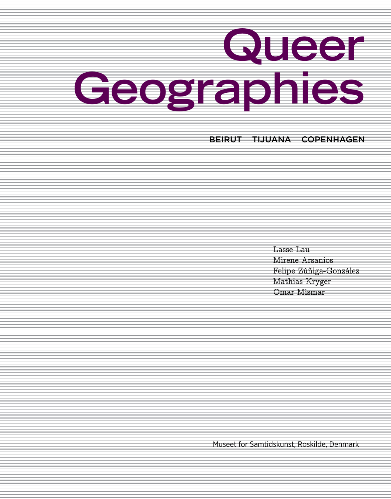# **Queer Geographies**

BEIRUT TIJUANA COPENHAGEN

Lasse Lau Mirene Arsanios Felipe Zúñiga-González Mathias Kryger Omar Mismar

Museet for Samtidskunst, Roskilde, Denmark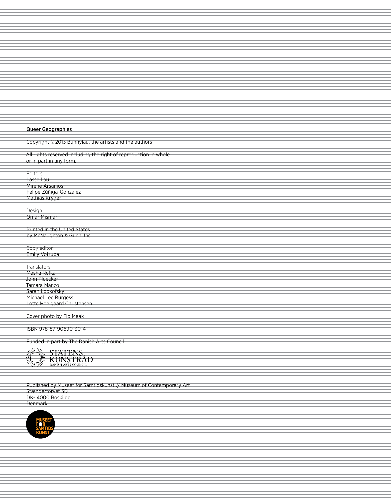#### Queer Geographies

Copyright ©2013 Bunnylau, the artists and the authors

All rights reserved including the right of reproduction in whole or in part in any form.

Editors Lasse Lau Mirene Arsanios Felipe Zúñiga-González Mathias Kryger

Design Omar Mismar

Printed in the United States by McNaughton & Gunn, Inc

Copy editor Emily Votruba

**Translators** Masha Refka John Pluecker Tamara Manzo Sarah Lookofsky Michael Lee Burgess Lotte Hoelgaard Christensen

Cover photo by Flo Maak

ISBN 978-87-90690-30-4

Funded in part by The Danish Arts Council



Published by Museet for Samtidskunst // Museum of Contemporary Art Stændertorvet 3D DK- 4000 Roskilde Denmark

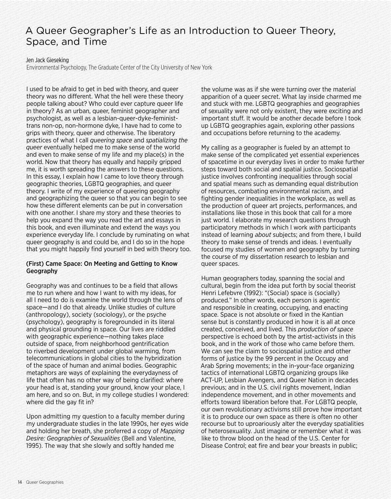# A Queer Geographer's Life as an Introduction to Queer Theory, Space, and Time

Jen Jack Gieseking

Environmental Psychology, The Graduate Center of the City University of New York

I used to be afraid to get in bed with theory, and queer theory was no diferent. What the hell were these theory people talking about? Who could ever capture queer life in theory? As an urban, queer, feminist geographer and psychologist, as well as a lesbian-queer-dyke-feministtrans non-op, non-hormone dyke, I have had to come to grips with theory, queer and otherwise. The liberatory practices of what I call *queering space* and *spatializing the queer* eventually helped me to make sense of the world and even to make sense of my life and my place(s) in the world. Now that theory has equally and happily gripped me, it is worth spreading the answers to these questions. In this essay, I explain how I came to love theory through geographic theories, LGBTQ geographies, and queer theory. I write of my experience of queering geography and geographizing the queer so that you can begin to see how these diferent elements can be put in conversation with one another. I share my story and these theories to help you expand the way you read the art and essays in this book, and even illuminate and extend the ways you experience everyday life. I conclude by ruminating on what queer geography is and could be, and I do so in the hope that you might happily find yourself in bed with theory too.

### (First) Came Space: On Meeting and Getting to Know Geography

Geography was and continues to be a field that allows me to run where and how I want to with my ideas, for all I need to do is examine the world through the lens of space—and I do that already. Unlike studies of culture (anthropology), society (sociology), or the psyche (psychology), geography is foregrounded in its literal and physical grounding in space. Our lives are riddled with geographic experience—nothing takes place outside of space, from neighborhood gentrification to riverbed development under global warming, from telecommunications in global cities to the hybridization of the space of human and animal bodies. Geographic metaphors are ways of explaining the everydayness of life that often has no other way of being clarified: where your head is at, standing your ground, know your place, I am here, and so on. But, in my college studies I wondered: where did the gay fit in?

Upon admitting my question to a faculty member during my undergraduate studies in the late 1990s, her eyes wide and holding her breath, she proferred a copy of *Mapping Desire: Geographies of Sexualities* (Bell and Valentine, 1995). The way that she slowly and softly handed me

the volume was as if she were turning over the material apparition of a queer secret. What lay inside charmed me and stuck with me. LGBTQ geographies and geographies of sexuality were not only existent, they were exciting and important stuf. It would be another decade before I took up LGBTQ geographies again, exploring other passions and occupations before returning to the academy.

My calling as a geographer is fueled by an attempt to make sense of the complicated yet essential experiences of spacetime in our everyday lives in order to make further steps toward both social and spatial justice. Sociospatial justice involves confronting inequalities through social and spatial means such as demanding equal distribution of resources, combating environmental racism, and fighting gender inequalities in the workplace, as well as the production of queer art projects, performances, and installations like those in this book that call for a more just world. I elaborate my research questions through participatory methods in which I work *with* participants instead of learning *about* subjects; and from there, I build theory to make sense of trends and ideas. I eventually focused my studies of women and geography by turning the course of my dissertation research to lesbian and queer spaces.

Human geographers today, spanning the social and cultural, begin from the idea put forth by social theorist Henri Lefebvre (1992): "(Social) space is (socially) produced." In other words, each person is agentic and responsible in creating, occupying, and enacting space. Space is not absolute or fixed in the Kantian sense but is constantly produced in how it is all at once created, conceived, and lived. This *production of space* perspective is echoed both by the artist-activists in this book, and in the work of those who came before them. We can see the claim to sociospatial justice and other forms of justice by the 99 percent in the Occupy and Arab Spring movements; in the in-your-face organizing tactics of international LGBTQ organizing groups like ACT-UP, Lesbian Avengers, and Queer Nation in decades previous; and in the U.S. civil rights movement, Indian independence movement, and in other movements and eforts toward liberation before that. For LGBTQ people, our own revolutionary activisms still prove how important it is to produce our own space as there is often no other recourse but to uproariously alter the everyday spatialities of heterosexuality. Just imagine or remember what it was like to throw blood on the head of the U.S. Center for Disease Control; eat fire and bear your breasts in public;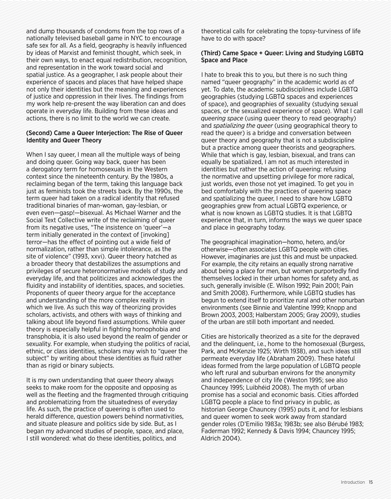and dump thousands of condoms from the top rows of a nationally televised baseball game in NYC to encourage safe sex for all. As a field, geography is heavily influenced by ideas of Marxist and feminist thought, which seek, in their own ways, to enact equal redistribution, recognition, and representation in the work toward social and spatial justice. As a geographer, I ask people about their experience of spaces and places that have helped shape not only their identities but the meaning and experiences of justice and oppression in their lives. The findings from my work help re-present the way liberation can and does operate in everyday life. Building from these ideas and actions, there is no limit to the world we can create.

#### (Second) Came a Queer Interjection: The Rise of Queer Identity and Queer Theory

When I say queer, I mean all the multiple ways of being and doing queer. Going way back, queer has been a derogatory term for homosexuals in the Western context since the nineteenth century. By the 1980s, a reclaiming began of the term, taking this language back just as feminists took the streets back. By the 1990s, the term queer had taken on a radical identity that refused traditional binaries of man-woman, gay-lesbian, or even even—gasp!—bisexual. As Michael Warner and the Social Text Collective write of the reclaiming of queer from its negative uses, "The insistence on 'queer'—a term initially generated in the context of finyoking 1 terror—has the efect of pointing out a wide field of normalization, rather than simple intolerance, as the site of violence" (1993, xxvi). Queer theory hatched as a broader theory that destabilizes the assumptions and privileges of secure heteronormative models of study and everyday life, and that politicizes and acknowledges the fluidity and instability of identities, spaces, and societies. Proponents of queer theory argue for the acceptance and understanding of the more complex reality in which we live. As such this way of theorizing provides scholars, activists, and others with ways of thinking and talking about life beyond fixed assumptions. While queer theory is especially helpful in fighting homophobia and transphobia, it is also used beyond the realm of gender or sexuality. For example, when studying the politics of racial, ethnic, or class identities, scholars may wish to "queer the subject" by writing about these identities as fluid rather than as rigid or binary subjects.

It is my own understanding that queer theory always seeks to make room for the opposite and opposing as well as the fleeting and the fragmented through critiquing and problematizing from the situatedness of everyday life. As such, the practice of queering is often used to herald diference, question powers behind normativities, and situate pleasure and politics side by side. But, as I began my advanced studies of people, space, and place, I still wondered: what do these identities, politics, and

theoretical calls for celebrating the topsy-turviness of life have to do with space?

#### (Third) Came Space + Queer: Living and Studying LGBTQ Space and Place

I hate to break this to you, but there is no such thing named "queer geography" in the academic world as of yet. To date, the academic subdisciplines include LGBTQ geographies (studying LGBTQ spaces and experiences of space), and geographies of sexuality (studying sexual spaces, or the sexualized experience of space). What I call *queering space* (using queer theory to read geography) and *spatializing the queer* (using geographical theory to read the queer) is a bridge and conversation between queer theory and geography that is not a subdiscipline but a practice among queer theorists and geographers. While that which is gay, lesbian, bisexual, and trans can equally be spatialized, I am not as much interested in identities but rather the action of queering: refusing the normative and upsetting privilege for more radical, just worlds, even those not yet imagined. To get you in bed comfortably with the practices of queering space and spatializing the queer, I need to share how LGBTQ geographies grew from actual LGBTQ experience, or what is now known as LGBTQ studies. It is that LGBTQ experience that, in turn, informs the ways we queer space and place in geography today.

The geographical imagination—homo, hetero, and/or otherwise—often associates LGBTQ people with cities. However, imaginaries are just this and must be unpacked. For example, the city retains an equally strong narrative about being a place for men, but women purportedly find themselves locked in their urban homes for safety and, as such, generally invisible (E. Wilson 1992; Pain 2001; Pain and Smith 2008). Furthermore, while LGBTQ studies has begun to extend itself to prioritize rural and other nonurban environments (see Binnie and Valentine 1999; Knopp and Brown 2003, 2003; Halberstam 2005; Gray 2009), studies of the urban are still both important and needed.

Cities are historically theorized as a site for the depraved and the delinquent, i.e., home to the homosexual (Burgess, Park, and McKenzie 1925; Wirth 1938), and such ideas still permeate everyday life (Abraham 2009). These hateful ideas formed from the large population of LGBTQ people who left rural and suburban environs for the anonymity and independence of city life (Weston 1995; see also Chauncey 1995; Luibhéid 2008). The myth of urban promise has a social and economic basis. Cities afforded LGBTQ people a place to find privacy in public, as historian George Chauncey (1995) puts it, and for lesbians and queer women to seek work away from standard gender roles (D'Emilio 1983a; 1983b; see also Bérubé 1983; Faderman 1992; Kennedy & Davis 1994; Chauncey 1995; Aldrich 2004).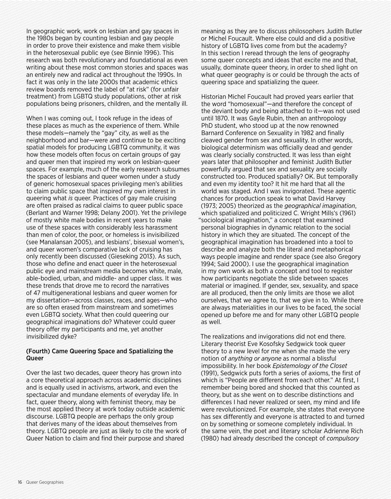In geographic work, work on lesbian and gay spaces in the 1980s began by counting lesbian and gay people in order to prove their existence and make them visible in the heterosexual public eye (see Binnie 1996). This research was both revolutionary and foundational as even writing about these most common stories and spaces was an entirely new and radical act throughout the 1990s. In fact it was only in the late 2000s that academic ethics review boards removed the label of "at risk" (for unfair treatment) from LGBTQ study populations, other at risk populations being prisoners, children, and the mentally ill.

When I was coming out, I took refuge in the ideas of these places as much as the experience of them. While these models—namely the "gay" city, as well as the neighborhood and bar—were and continue to be exciting spatial models for producing LGBTQ community, it was how these models often focus on certain groups of gay and queer men that inspired my work on lesbian-queer spaces. For example, much of the early research subsumes the spaces of lesbians and queer women under a study of generic homosexual spaces privileging men's abilities to claim public space that inspired my own interest in queering what *is* queer. Practices of gay male cruising are often praised as radical claims to queer public space (Berlant and Warner 1998; Delany 2001). Yet the privilege of mostly white male bodies in recent years to make use of these spaces with considerably less harassment than men of color, the poor, or homeless is invisibilized (see Manalansan 2005), and lesbians', bisexual women's, and queer women's comparative lack of cruising has only recently been discussed (Gieseking 2013). As such, those who define and enact queer in the heterosexual public eye and mainstream media becomes white, male, able-bodied, urban, and middle- and upper class. It was these trends that drove me to record the narratives of 47 multigenerational lesbians and queer women for my dissertation—across classes, races, and ages—who are so often erased from mainstream and sometimes even LGBTQ society. What then could queering our geographical imaginations do? Whatever could queer theory offer my participants and me, yet another invisibilized dyke?

# (Fourth) Came Queering Space and Spatializing the **Queer**

Over the last two decades, queer theory has grown into a core theoretical approach across academic disciplines and is equally used in activisms, artwork, and even the spectacular and mundane elements of everyday life. In fact, queer theory, along with feminist theory, may be the most applied theory at work today outside academic discourse. LGBTQ people are perhaps the only group that derives many of the ideas about themselves from theory. LGBTQ people are just as likely to cite the work of Queer Nation to claim and find their purpose and shared

meaning as they are to discuss philosophers Judith Butler or Michel Foucault. Where else could and did a positive history of LGBTQ lives come from but the academy? In this section I reread through the lens of geography some queer concepts and ideas that excite me and that, usually, dominate queer theory, in order to shed light on what queer geography is or could be through the acts of queering space and spatializing the queer.

Historian Michel Foucault had proved years earlier that the word "homosexual"—and therefore the concept of the deviant body and being attached to it—was not used until 1870. It was Gayle Rubin, then an anthropology PhD student, who stood up at the now renowned Barnard Conference on Sexuality in 1982 and finally cleaved gender from sex and sexuality. In other words, biological determinism was officially dead and gender was clearly socially constructed. It was less than eight years later that philosopher and feminist Judith Butler powerfully argued that sex and sexuality are socially constructed too. Produced spatially? OK. But temporally and even my identity too? It hit me hard that all the world was staged. And I was invigorated. These agentic chances for production speak to what David Harvey (1973; 2005) theorized as the *geographical imagination*, which spatialized and politicized C. Wright Mills's (1961) "sociological imagination," a concept that examined personal biographies in dynamic relation to the social history in which they are situated. The concept of the geographical imagination has broadened into a tool to describe and analyze both the literal and metaphorical ways people imagine and render space (see also Gregory 1994; Said 2000). I use the geographical imagination in my own work as both a concept and tool to register how participants negotiate the slide between spaces material or imagined. If gender, sex, sexuality, and space are all produced, then the only limits are those we allot ourselves, that we agree to, that we give in to. While there are always materialities in our lives to be faced, the social opened up before me and for many other LGBTQ people as well.

The realizations and invigorations did not end there. Literary theorist Eve Kosofsky Sedgwick took queer theory to a new level for me when she made the very notion of *anything or anyone* as normal a blissful impossibility. In her book *Epistemology of the Closet*  (1991), Sedgwick puts forth a series of axioms, the first of which is "People are diferent from each other." At first, I remember being bored and shocked that this counted as theory, but as she went on to describe distinctions and diferences I had never realized or seen, my mind and life were revolutionized. For example, she states that everyone has sex diferently and everyone is attracted to and turned on by something or someone completely individual. In the same vein, the poet and literary scholar Adrienne Rich (1980) had already described the concept of *compulsory*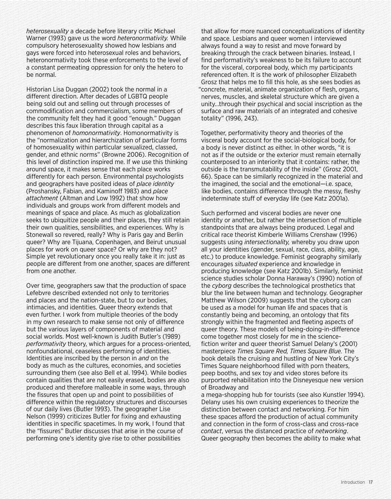*heterosexuality* a decade before literary critic Michael Warner (1993) gave us the word *heteronormativity.* While compulsory heterosexuality showed how lesbians and gays were forced into heterosexual roles and behaviors, heteronormativity took these enforcements to the level of a constant permeating oppression for only the hetero to be normal.

Historian Lisa Duggan (2002) took the normal in a diferent direction. After decades of LGBTQ people being sold out and selling out through processes of commodification and commercialism, some members of the community felt they had it good "enough." Duggan describes this faux liberation through capital as a phenomenon of *homonormativity*. Homonormativity is the "normalization and hierarchization of particular forms of homosexuality within particular sexualized, classed, gender, and ethnic norms" (Browne 2006). Recognition of this level of distinction inspired me. If we use this thinking around space, it makes sense that each place works diferently for each person. Environmental psychologists and geographers have posited ideas of *place identity* (Proshansky, Fabian, and Kaminof 1983) and *place attachment* (Altman and Low 1992) that show how individuals and groups work from diferent models and meanings of space and place. As much as globalization seeks to ubiquitize people and their places, they still retain their own qualities, sensibilities, and experiences. Why is Stonewall so revered, really? Why is Paris gay and Berlin queer? Why are Tijuana, Copenhagen, and Beirut unusual places for work on queer space? Or why are they not? Simple yet revolutionary once you really take it in: just as people are diferent from one another, spaces are diferent from one another.

Over time, geographers saw that the production of space Lefebvre described extended not only to territories and places and the nation-state, but to our bodies, intimacies, and identities. Queer theory extends that even further. I work from multiple theories of the body in my own research to make sense not only of diference but the various layers of components of material and social worlds. Most well-known is Judith Butler's (1989) *performativity* theory, which argues for a process-oriented, nonfoundational, ceaseless performing of identities. Identities are inscribed by the person in *and* on the body as much as the cultures, economies, and societies surrounding them (see also Bell et al. 1994). While bodies contain qualities that are not easily erased, bodies are also produced and therefore malleable in some ways, through the fissures that open up and point to possibilities of diference within the regulatory structures and discourses of our daily lives (Butler 1993). The geographer Lise Nelson (1999) criticizes Butler for fixing and exhausting identities in specific spacetimes. In my work, I found that the "fissures" Butler discusses that arise in the course of performing one's identity give rise to other possibilities

that allow for more nuanced conceptualizations of identity and space. Lesbians and queer women I interviewed always found a way to resist and move forward by breaking through the crack between binaries. Instead, I find performativity's weakness to be its failure to account for the visceral, corporeal body, which my participants referenced often. It is the work of philosopher Elizabeth Grosz that helps me to fill this hole, as she sees bodies as "concrete, material, animate organization of flesh, organs, nerves, muscles, and skeletal structure which are given a unity…through their psychical and social inscription as the surface and raw materials of an integrated and cohesive totality" (1996, 243).

Together, performativity theory and theories of the visceral body account for the social-biological body, for a body is never distinct as either. In other words, "it is not as if the outside or the exterior must remain eternally counterposed to an interiority that it contains: rather, the outside is the transmutability of the inside" (Grosz 2001, 66). Space can be similarly recognized in the material and the imagined, the social and the emotional—i.e. space, like bodies, contains diference through the messy, fleshy indeterminate stuff of everyday life (see Katz 2001a).

Such performed and visceral bodies are never one identity or another, but rather the intersection of multiple standpoints that are always being produced. Legal and critical race theorist Kimberle Williams Crenshaw (1996) suggests using *intersectionality,* whereby you draw upon all your identities (gender, sexual, race, class, ability, age, etc.) to produce knowledge. Feminist geography similarly encourages *situated* experience and knowledge in producing knowledge (see Katz 2001b). Similarly, feminist science studies scholar Donna Haraway's (1990) notion of the *cyborg* describes the technological prosthetics that blur the line between human and technology. Geographer Matthew Wilson (2009) suggests that the cyborg can be used as a model for human life and spaces that is constantly being and becoming, an ontology that fits strongly within the fragmented and fleeting aspects of queer theory. These models of being-doing-in-diference come together most closely for me in the sciencefiction writer and queer theorist Samuel Delany's (2001) masterpiece *Times Square Red, Times Square Blue.* The book details the cruising and hustling of New York City's Times Square neighborhood filled with porn theaters, peep booths, and sex toy and video stores before its purported rehabilitation into the Disneyesque new version of Broadway and

a mega-shopping hub for tourists (see also Kunstler 1994). Delany uses his own cruising experiences to theorize the distinction between contact and networking. For him these spaces aford the production of actual community and connection in the form of cross-class and cross-race *contact*, versus the distanced practice of *networking*. Queer geography then becomes the ability to make what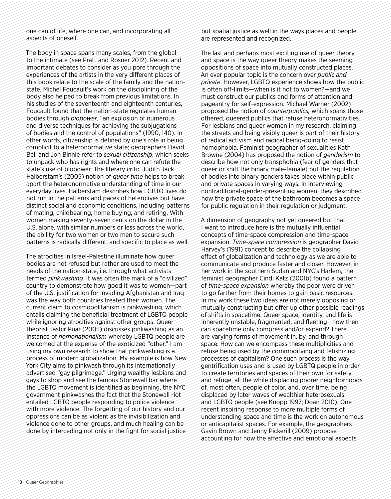one can of life, where one can, and incorporating all aspects of oneself.

The body in space spans many scales, from the global to the intimate (see Pratt and Rosner 2012). Recent and important debates to consider as you pore through the experiences of the artists in the very diferent places of this book relate to the scale of the family and the nationstate. Michel Foucault's work on the disciplining of the body also helped to break from previous limitations. In his studies of the seventeenth and eighteenth centuries, Foucault found that the nation-state regulates human bodies through *biopower*, "an explosion of numerous and diverse techniques for achieving the subjugations of bodies and the control of populations" (1990, 140). In other words, citizenship is defined by one's role in being complicit to a heteronormative state; geographers David Bell and Jon Binnie refer to *sexual citizenship*, which seeks to unpack who has rights and where one can refute the state's use of biopower. The literary critic Judith Jack Halberstam's (2005) notion of *queer time* helps to break apart the heteronormative understanding of time in our everyday lives. Halberstam describes how LGBTQ lives do not run in the patterns and paces of heterolives but have distinct social and economic conditions, including patterns of mating, childbearing, home buying, and retiring. With women making seventy-seven cents on the dollar in the U.S. alone, with similar numbers or less across the world, the ability for two women or two men to secure such patterns is radically diferent, and specific to place as well.

The atrocities in Israel-Palestine illuminate how queer bodies are not refused but rather are used to meet the needs of the nation-state, i.e. through what activists termed *pinkwashing*. It was often the mark of a "civilized" country to demonstrate how good it was to women—part of the U.S. justification for invading Afghanistan and Iraq was the way both countries treated their women. The current claim to cosmopolitanism is pinkwashing, which entails claiming the beneficial treatment of LGBTQ people while ignoring atrocities against other groups. Queer theorist Jasbir Puar (2005) discusses pinkwashing as an instance of *homonationalism* whereby LGBTQ people are welcomed at the expense of the exoticized "other." I am using my own research to show that pinkwashing is a process of modern globalization. My example is how New York City aims to pinkwash through its internationally advertised "gay pilgrimage." Urging wealthy lesbians and gays to shop and see the famous Stonewall bar where the LGBTQ movement is identified as beginning, the NYC government pinkwashes the fact that the Stonewall riot entailed LGBTQ people responding to police violence with more violence. The forgetting of our history and our oppressions can be as violent as the invisibilization and violence done to other groups, and much healing can be done by interceding not only in the fight for social justice

but spatial justice as well in the ways places and people are represented and recognized.

The last and perhaps most exciting use of queer theory and space is the way queer theory makes the seeming oppositions of space into mutually constructed places. An ever popular topic is the concern over *public and private*. However, LGBTQ experience shows how the public is often off-limits—when is it not to women?—and we must construct our publics and forms of attention and pageantry for self-expression. Michael Warner (2002) proposed the notion of *counterpublics,* which spans those othered, queered publics that refuse heteronormativities. For lesbians and queer women in my research, claiming the streets and being visibly queer is part of their history of radical activism and radical being-doing to resist homophobia. Feminist geographer of sexualities Kath Browne (2004) has proposed the notion of *genderism* to describe how not only transphobia (fear of genders that queer or shift the binary male-female) but the regulation of bodies into binary genders takes place within public and private spaces in varying ways. In interviewing nontraditional-gender-presenting women, they described how the private space of the bathroom becomes a space for public regulation in their regulation or judgment.

A dimension of geography not yet queered but that I want to introduce here is the mutually influential concepts of time-space compression and time-space expansion. *Time-space compression* is geographer David Harvey's (1991) concept to describe the collapsing efect of globalization and technology as we are able to communicate and produce faster and closer. However, in her work in the southern Sudan and NYC's Harlem, the feminist geographer Cindi Katz (2001b) found a pattern of *time-space expansion* whereby the poor were driven to go farther from their homes to gain basic resources. In my work these two ideas are not merely opposing or mutually constructing but ofer up other possible readings of shifts in spacetime. Queer space, identity, and life is inherently unstable, fragmented, and fleeting—how then can spacetime only compress and/or expand? There are varying forms of movement in, by, and through space. How can we encompass these multiplicities and refuse being used by the commodifying and fetishizing processes of capitalism? One such process is the way gentrification uses and is used by LGBTQ people in order to create territories and spaces of their own for safety and refuge, all the while displacing poorer neighborhoods of, most often, people of color, and, over time, being displaced by later waves of wealthier heterosexuals and LGBTQ people (see Knopp 1997; Doan 2010). One recent inspiring response to more multiple forms of understanding space and time is the work on autonomous or anticapitalist spaces. For example, the geographers Gavin Brown and Jenny Pickerill (2009) propose accounting for how the afective and emotional aspects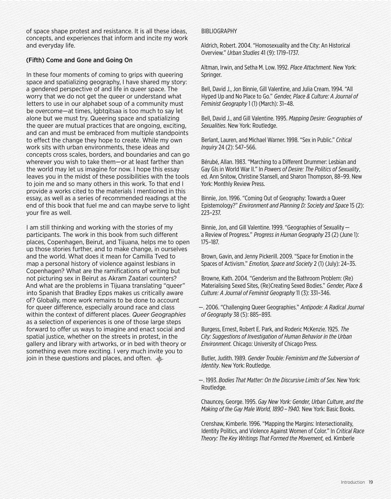of space shape protest and resistance. It is all these ideas, concepts, and experiences that inform and incite my work and everyday life.

## (Fifth) Come and Gone and Going On

In these four moments of coming to grips with queering space and spatializing geography, I have shared my story: a gendered perspective of and life in queer space. The worry that we do not get the queer or understand what letters to use in our alphabet soup of a community must be overcome—at times, lgbtgitsaa is too much to say let alone but we must try. Queering space and spatializing the queer are mutual practices that are ongoing, exciting, and can and must be embraced from multiple standpoints to efect the change they hope to create. While my own work sits with urban environments, these ideas and concepts cross scales, borders, and boundaries and can go wherever you wish to take them—or at least farther than the world may let us imagine for now. I hope this essay leaves you in the midst of these possibilities with the tools to join me and so many others in this work. To that end I provide a works cited to the materials I mentioned in this essay, as well as a series of recommended readings at the end of this book that fuel me and can maybe serve to light your fire as well.

I am still thinking and working with the stories of my participants. The work in this book from such diferent places, Copenhagen, Beirut, and Tijuana, helps me to open up those stories further, and to make change, in ourselves and the world. What does it mean for Camilla Tved to map a personal history of violence against lesbians in Copenhagen? What are the ramifications of writing but not picturing sex in Beirut as Akram Zaatari counters? And what are the problems in Tijuana translating "queer" into Spanish that Bradley Epps makes us critically aware of? Globally, more work remains to be done to account for queer diference, especially around race and class within the context of diferent places. *Queer Geographies* as a selection of experiences is one of those large steps forward to offer us ways to imagine and enact social and spatial justice, whether on the streets in protest, in the gallery and library with artworks, or in bed with theory or something even more exciting. I very much invite you to join in these questions and places, and often.  $\frac{1}{2}$ 

#### BIBLIOGRAPHY

Aldrich, Robert. 2004. "Homosexuality and the City: An Historical Overview." *Urban Studies* 41 (9): 1719–1737.

Altman, Irwin, and Setha M. Low. 1992. *Place Attachment.* New York: Springer.

Bell, David J., Jon Binnie, Gill Valentine, and Julia Cream. 1994. "All Hyped Up and No Place to Go." *Gender, Place & Culture: A Journal of Feminist Geography* 1 (1) (March): 31–48.

Bell, David J., and Gill Valentine. 1995. *Mapping Desire: Geographies of Sexualities*. New York: Routledge.

Berlant, Lauren, and Michael Warner. 1998. "Sex in Public." *Critical Inquiry* 24 (2): 547–566.

Bérubé, Allan. 1983. "Marching to a Diferent Drummer: Lesbian and Gay GIs in World War II." In *Powers of Desire: The Politics of Sexuality*, ed. Ann Snitow, Christine Stansell, and Sharon Thompson, 88–99. New York: Monthly Review Press.

Binnie, Jon. 1996. "Coming Out of Geography: Towards a Queer Epistemology?" *Environment and Planning D: Society and Space* 15 (2): 223–237.

Binnie, Jon, and Gill Valentine. 1999. "Geographies of Sexuality a Review of Progress." *Progress in Human Geography* 23 (2) (June 1): 175–187.

Brown, Gavin, and Jenny Pickerill. 2009. "Space for Emotion in the Spaces of Activism." *Emotion, Space and Society* 2 (1) (July): 24–35.

Browne, Kath. 2004. "Genderism and the Bathroom Problem: (Re) Materialising Sexed Sites, (Re)Creating Sexed Bodies." *Gender, Place & Culture: A Journal of Feminist Geography* 11 (3): 331–346.

—. 2006. "Challenging Queer Geographies." *Antipode: A Radical Journal of Geography* 38 (5): 885–893.

Burgess, Ernest, Robert E. Park, and Roderic McKenzie. 1925. *The City: Suggestions of Investigation of Human Behavior in the Urban Environment.* Chicago: University of Chicago Press.

Butler, Judith. 1989. *Gender Trouble: Feminism and the Subversion of Identity*. New York: Routledge.

—. 1993. *Bodies That Matter: On the Discursive Limits of Sex.* New York: Routledge.

Chauncey, George. 1995. *Gay New York: Gender, Urban Culture, and the Making of the Gay Male World, 1890 – 1940.* New York: Basic Books.

Crenshaw, Kimberle. 1996. "Mapping the Margins: Intersectionality, Identity Politics, and Violence Against Women of Color." In *Critical Race Theory: The Key Writings That Formed the Movement,* ed. Kimberle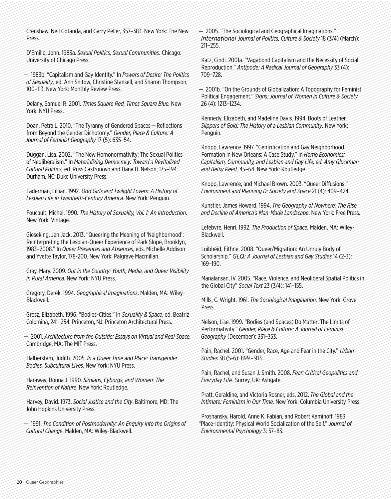Crenshaw, Neil Gotanda, and Garry Peller, 357–383. New York: The New Press.

D'Emilio, John. 1983a. *Sexual Politics, Sexual Communities.* Chicago: University of Chicago Press.

—. 1983b. "Capitalism and Gay Identity." In *Powers of Desire: The Politics of Sexuality,* ed. Ann Snitow, Christine Stansell, and Sharon Thompson, 100–113. New York: Monthly Review Press.

Delany, Samuel R. 2001. *Times Square Red, Times Square Blue.* New York: NYU Press.

Doan, Petra L. 2010. "The Tyranny of Gendered Spaces—Reflections from Beyond the Gender Dichotomy." *Gender, Place & Culture: A Journal of Feminist Geography* 17 (5): 635–54.

Duggan, Lisa. 2002. "The New Homonormativity: The Sexual Politics of Neoliberalism." In *Materializing Democracy: Toward a Revitalized Cultural Politics,* ed. Russ Castronovo and Dana D. Nelson, 175–194. Durham, NC: Duke University Press.

Faderman, Lillian. 1992. *Odd Girls and Twilight Lovers: A History of Lesbian Life in Twentieth-Century America*. New York: Penguin.

Foucault, Michel. 1990. *The History of Sexuality, Vol. 1: An Introduction*. New York: Vintage.

Gieseking, Jen Jack. 2013. "Queering the Meaning of 'Neighborhood': Reinterpreting the Lesbian-Queer Experience of Park Slope, Brooklyn, 1983–2008." In *Queer Presences and Absences*, eds. Michelle Addison and Yvette Taylor, 178-200. New York: Palgrave Macmillan.

Gray, Mary. 2009. *Out in the Country: Youth, Media, and Queer Visibility in Rural America*. New York: NYU Press.

Gregory, Derek. 1994. *Geographical Imaginations*. Malden, MA: Wiley-Blackwell.

Grosz, Elizabeth. 1996. "Bodies-Cities." In *Sexuality & Space*, ed. Beatriz Colomina, 241–254. Princeton, NJ: Princeton Architectural Press.

—. 2001. *Architecture from the Outside: Essays on Virtual and Real Space.* Cambridge, MA: The MIT Press.

Halberstam, Judith. 2005. *In a Queer Time and Place: Transgender Bodies, Subcultural Lives.* New York: NYU Press.

Haraway, Donna J. 1990. *Simians, Cyborgs, and Women: The Reinvention of Nature*. New York: Routledge.

Harvey, David. 1973. *Social Justice and the City*. Baltimore, MD: The John Hopkins University Press.

—. 1991. *The Condition of Postmodernity: An Enquiry into the Origins of Cultural Change*. Malden, MA: Wiley-Blackwell.

—. 2005. "The Sociological and Geographical Imaginations." *International Journal of Politics, Culture & Society* 18 (3/4) (March): 211–255.

Katz, Cindi. 2001a. "Vagabond Capitalism and the Necessity of Social Reproduction." *Antipode: A Radical Journal of Geography* 33 (4): 709–728.

—. 2001b. "On the Grounds of Globalization: A Topography for Feminist Political Engagement." *Signs: Journal of Women in Culture & Society*  26 (4): 1213–1234.

Kennedy, Elizabeth, and Madeline Davis. 1994. Boots of Leather, *Slippers of Gold: The History of a Lesbian Community.* New York: Penguin.

Knopp, Lawrence. 1997. "Gentrification and Gay Neighborhood Formation in New Orleans: A Case Study." In *Homo Economics: Capitalism, Community, and Lesbian and Gay Life, ed. Amy Gluckman and Betsy Reed,* 45–64. New York: Routledge.

Knopp, Lawrence, and Michael Brown. 2003. "Queer Difusions." *Environment and Planning D: Society and Space* 21 (4): 409–424.

Kunstler, James Howard. 1994. *The Geography of Nowhere: The Rise and Decline of America's Man-Made Landscape*. New York: Free Press.

Lefebvre, Henri. 1992. *The Production of Space.* Malden, MA: Wiley-Blackwell.

Luibhéid, Eithne. 2008. "Queer/Migration: An Unruly Body of Scholarship." *GLQ: A Journal of Lesbian and Gay Studies* 14 (2-3): 169–190.

Manalansan, IV. 2005. "Race, Violence, and Neoliberal Spatial Politics in the Global City" *Social Text* 23 (3/4): 141–155.

Mills, C. Wright. 1961. *The Sociological Imagination.* New York: Grove Press.

Nelson, Lise. 1999. "Bodies (and Spaces) Do Matter: The Limits of Performativity." *Gender, Place & Culture: A Journal of Feminist Geography* (December): 331–353.

Pain, Rachel. 2001. "Gender, Race, Age and Fear in the City." *Urban Studies* 38 (5-6): 899 – 913.

Pain, Rachel, and Susan J. Smith. 2008. *Fear: Critical Geopolitics and Everyday Life.* Surrey, UK: Ashgate.

Pratt, Geraldine, and Victoria Rosner, eds. 2012. *The Global and the Intimate: Feminism in Our Time.* New York: Columbia University Press.

Proshansky, Harold, Anne K. Fabian, and Robert Kaminof. 1983. "Place-Identity: Physical World Socialization of the Self." *Journal of Environmental Psychology* 3: 57–83.